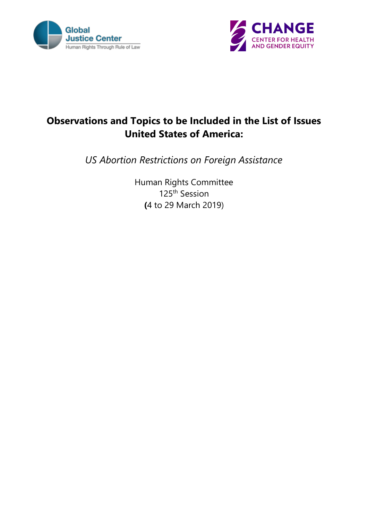



# **Observations and Topics to be Included in the List of Issues United States of America:**

*US Abortion Restrictions on Foreign Assistance*

Human Rights Committee 125th Session **(**4 to 29 March 2019)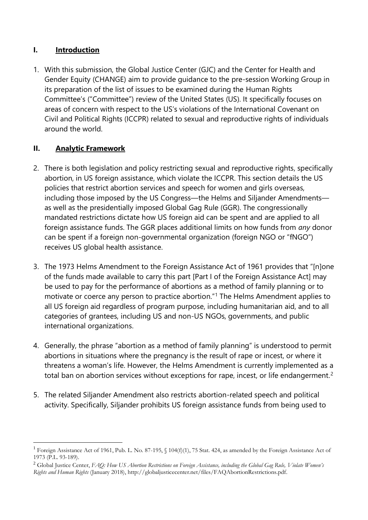### **I. Introduction**

1. With this submission, the Global Justice Center (GJC) and the Center for Health and Gender Equity (CHANGE) aim to provide guidance to the pre-session Working Group in its preparation of the list of issues to be examined during the Human Rights Committee's ("Committee") review of the United States (US). It specifically focuses on areas of concern with respect to the US's violations of the International Covenant on Civil and Political Rights (ICCPR) related to sexual and reproductive rights of individuals around the world.

# **II. Analytic Framework**

- 2. There is both legislation and policy restricting sexual and reproductive rights, specifically abortion, in US foreign assistance, which violate the ICCPR. This section details the US policies that restrict abortion services and speech for women and girls overseas, including those imposed by the US Congress—the Helms and Siljander Amendments as well as the presidentially imposed Global Gag Rule (GGR). The congressionally mandated restrictions dictate how US foreign aid can be spent and are applied to all foreign assistance funds. The GGR places additional limits on how funds from *any* donor can be spent if a foreign non-governmental organization (foreign NGO or "fNGO") receives US global health assistance.
- 3. The 1973 Helms Amendment to the Foreign Assistance Act of 1961 provides that "[n]one of the funds made available to carry this part [Part I of the Foreign Assistance Act] may be used to pay for the performance of abortions as a method of family planning or to motivate or coerce any person to practice abortion."<sup>1</sup> The Helms Amendment applies to all US foreign aid regardless of program purpose, including humanitarian aid, and to all categories of grantees, including US and non-US NGOs, governments, and public international organizations.
- 4. Generally, the phrase "abortion as a method of family planning" is understood to permit abortions in situations where the pregnancy is the result of rape or incest, or where it threatens a woman's life. However, the Helms Amendment is currently implemented as a total ban on abortion services without exceptions for rape, incest, or life endangerment.<sup>2</sup>
- 5. The related Siljander Amendment also restricts abortion-related speech and political activity. Specifically, Siljander prohibits US foreign assistance funds from being used to

<sup>&</sup>lt;sup>1</sup> Foreign Assistance Act of 1961, Pub. L. No. 87-195, § 104(f)(1), 75 Stat. 424, as amended by the Foreign Assistance Act of 1973 (P.L. 93-189).

<sup>2</sup> Global Justice Center, *FAQ: How US Abortion Restrictions on Foreign Assistance, including the Global Gag Rule, Violate Women's Rights and Human Rights* (January 2018), http://globaljusticecenter.net/files/FAQAbortionRestrictions.pdf.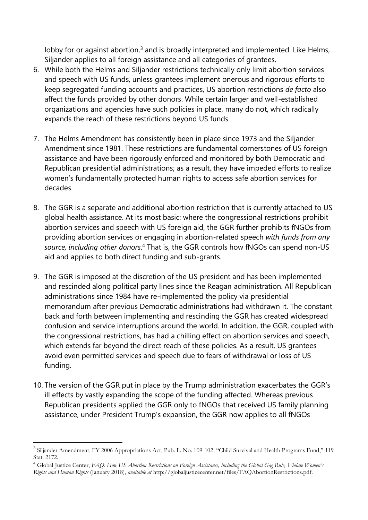lobby for or against abortion, $3$  and is broadly interpreted and implemented. Like Helms, Siljander applies to all foreign assistance and all categories of grantees.

- 6. While both the Helms and Siljander restrictions technically only limit abortion services and speech with US funds, unless grantees implement onerous and rigorous efforts to keep segregated funding accounts and practices, US abortion restrictions *de facto* also affect the funds provided by other donors. While certain larger and well-established organizations and agencies have such policies in place, many do not, which radically expands the reach of these restrictions beyond US funds.
- 7. The Helms Amendment has consistently been in place since 1973 and the Siljander Amendment since 1981. These restrictions are fundamental cornerstones of US foreign assistance and have been rigorously enforced and monitored by both Democratic and Republican presidential administrations; as a result, they have impeded efforts to realize women's fundamentally protected human rights to access safe abortion services for decades.
- 8. The GGR is a separate and additional abortion restriction that is currently attached to US global health assistance. At its most basic: where the congressional restrictions prohibit abortion services and speech with US foreign aid, the GGR further prohibits fNGOs from providing abortion services or engaging in abortion-related speech *with funds from any source, including other donors*. <sup>4</sup> That is, the GGR controls how fNGOs can spend non-US aid and applies to both direct funding and sub-grants.
- 9. The GGR is imposed at the discretion of the US president and has been implemented and rescinded along political party lines since the Reagan administration. All Republican administrations since 1984 have re-implemented the policy via presidential memorandum after previous Democratic administrations had withdrawn it. The constant back and forth between implementing and rescinding the GGR has created widespread confusion and service interruptions around the world. In addition, the GGR, coupled with the congressional restrictions, has had a chilling effect on abortion services and speech, which extends far beyond the direct reach of these policies. As a result, US grantees avoid even permitted services and speech due to fears of withdrawal or loss of US funding.
- 10. The version of the GGR put in place by the Trump administration exacerbates the GGR's ill effects by vastly expanding the scope of the funding affected. Whereas previous Republican presidents applied the GGR only to fNGOs that received US family planning assistance, under President Trump's expansion, the GGR now applies to all fNGOs

<sup>&</sup>lt;sup>3</sup> Siljander Amendment, FY 2006 Appropriations Act, Pub. L. No. 109-102, "Child Survival and Health Programs Fund," 119 Stat. 2172.

<sup>4</sup> Global Justice Center, *FAQ: How US Abortion Restrictions on Foreign Assistance, including the Global Gag Rule, Violate Women's Rights and Human Rights* (January 2018), *available at* http://globaljusticecenter.net/files/FAQAbortionRestrictions.pdf.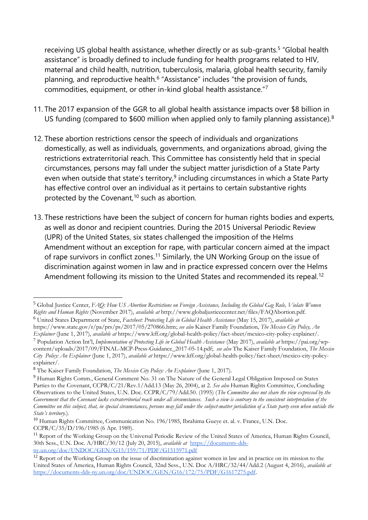receiving US global health assistance, whether directly or as sub-grants.<sup>5</sup> "Global health assistance" is broadly defined to include funding for health programs related to HIV, maternal and child health, nutrition, tuberculosis, malaria, global health security, family planning, and reproductive health.<sup>6</sup> "Assistance" includes "the provision of funds, commodities, equipment, or other in-kind global health assistance."<sup>7</sup>

- 11. The 2017 expansion of the GGR to all global health assistance impacts over \$8 billion in US funding (compared to \$600 million when applied only to family planning assistance).<sup>8</sup>
- 12. These abortion restrictions censor the speech of individuals and organizations domestically, as well as individuals, governments, and organizations abroad, giving the restrictions extraterritorial reach. This Committee has consistently held that in special circumstances, persons may fall under the subject matter jurisdiction of a State Party even when outside that state's territory,<sup>9</sup> including circumstances in which a State Party has effective control over an individual as it pertains to certain substantive rights protected by the Covenant,<sup>10</sup> such as abortion.
- 13. These restrictions have been the subject of concern for human rights bodies and experts, as well as donor and recipient countries. During the 2015 Universal Periodic Review (UPR) of the United States, six states challenged the imposition of the Helms Amendment without an exception for rape, with particular concern aimed at the impact of rape survivors in conflict zones.<sup>11</sup> Similarly, the UN Working Group on the issue of discrimination against women in law and in practice expressed concern over the Helms Amendment following its mission to the United States and recommended its repeal.<sup>12</sup>

1

<sup>5</sup> Global Justice Center, *FAQ: How US Abortion Restrictions on Foreign Assistance, Including the Global Gag Rule, Violate Women Rights and Human Rights* (November 2017), *available at* http://www.globaljusticecenter.net/files/FAQAbortion.pdf. <sup>6</sup> United States Department of State, *Factsheet: Protecting Life in Global Health Assistance* (May 15, 2017), *available at*

[https://www.state.gov/r/pa/prs/ps/2017/05/270866.htm;](https://www.state.gov/r/pa/prs/ps/2017/05/270866.htm) *see also* Kaiser Family Foundation, *The Mexico City Policy, An Explainer* (June 1, 2017), *available at* [https://www.kff.org/global-health-policy/fact-sheet/mexico-city-policy-explainer/.](https://www.kff.org/global-health-policy/fact-sheet/mexico-city-policy-explainer/)

<sup>7</sup> Population Action Int'l, *Implementation of Protecting Life in Global Health Assistance* (May 2017), *available at* [https://pai.org/wp](https://pai.org/wp-content/uploads/2017/09/FINAL-MCP-Press-Guidance_2017-05-14.pdf)[content/uploads/2017/09/FINAL-MCP-Press-Guidance\\_2017-05-14.pdf;](https://pai.org/wp-content/uploads/2017/09/FINAL-MCP-Press-Guidance_2017-05-14.pdf) *see also* The Kaiser Family Foundation, *The Mexico City Policy: An Explainer* (June 1, 2017), *available at* [https://www.kff.org/global-health-policy/fact-sheet/mexico-city-policy](https://www.kff.org/global-health-policy/fact-sheet/mexico-city-policy-explainer/)[explainer/.](https://www.kff.org/global-health-policy/fact-sheet/mexico-city-policy-explainer/)

<sup>8</sup> The Kaiser Family Foundation, *The Mexico City Policy: An Explainer* (June 1, 2017).

<sup>&</sup>lt;sup>9</sup> Human Rights Comm., General Comment No. 31 on The Nature of the General Legal Obligation Imposed on States Parties to the Covenant, CCPR/C/21/Rev.1/Add.13 (May 26, 2004), at 2. *See also* Human Rights Committee, Concluding Observations to the United States, U.N. Doc. CCPR/C/79/Add.50. (1995) (*The Committee does not share the view expressed by the Government that the Covenant lacks extraterritorial reach under all circumstances. Such a view is contrary to the consistent interpretation of the Committee on this subject, that, in special circumstances, persons may fall under the subject-matter jurisdiction of a State party even when outside the State's territory.*)*.*

<sup>10</sup> Human Rights Committee, Communication No. 196/1985, Ibrahima Gueye et. al. v. France, U.N. Doc. CCPR/C/35/D/196/1985 (6 Apr. 1989).

<sup>&</sup>lt;sup>11</sup> Report of the Working Group on the Universal Periodic Review of the United States of America, Human Rights Council, 30th Sess., U.N. Doc. A/HRC/30/12 (July 20, 2015), *available at* [https://documents-dds](https://documents-dds-ny.un.org/doc/UNDOC/GEN/G15/159/71/PDF/G1515971.pdf?OpenElement)[ny.un.org/doc/UNDOC/GEN/G15/159/71/PDF/G1515971.pdf](https://documents-dds-ny.un.org/doc/UNDOC/GEN/G15/159/71/PDF/G1515971.pdf?OpenElement)

<sup>&</sup>lt;sup>12</sup> Report of the Working Group on the issue of discrimination against women in law and in practice on its mission to the United States of America, Human Rights Council, 32nd Sess., U.N. Doc A/HRC/32/44/Add.2 (August 4, 2016), *available at* [https://documents-dds-ny.un.org/doc/UNDOC/GEN/G16/172/75/PDF/G1617275.pdf.](https://documents-dds-ny.un.org/doc/UNDOC/GEN/G16/172/75/PDF/G1617275.pdf?OpenElement)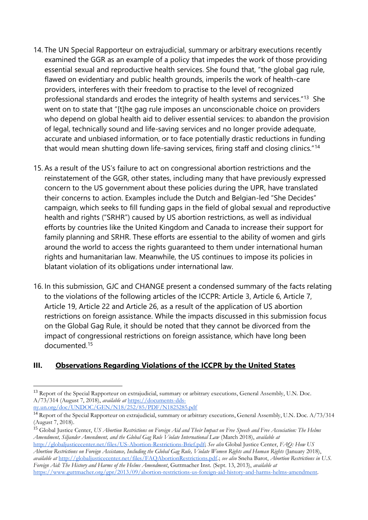- 14. The UN Special Rapporteur on extrajudicial, summary or arbitrary executions recently examined the GGR as an example of a policy that impedes the work of those providing essential sexual and reproductive health services. She found that, "the global gag rule, flawed on evidentiary and public health grounds, imperils the work of health-care providers, interferes with their freedom to practise to the level of recognized professional standards and erodes the integrity of health systems and services.<sup>"13</sup> She went on to state that "[t]he gag rule imposes an unconscionable choice on providers who depend on global health aid to deliver essential services: to abandon the provision of legal, technically sound and life-saving services and no longer provide adequate, accurate and unbiased information, or to face potentially drastic reductions in funding that would mean shutting down life-saving services, firing staff and closing clinics."<sup>14</sup>
- 15. As a result of the US's failure to act on congressional abortion restrictions and the reinstatement of the GGR, other states, including many that have previously expressed concern to the US government about these policies during the UPR, have translated their concerns to action. Examples include the Dutch and Belgian-led "She Decides" campaign, which seeks to fill funding gaps in the field of global sexual and reproductive health and rights ("SRHR") caused by US abortion restrictions, as well as individual efforts by countries like the United Kingdom and Canada to increase their support for family planning and SRHR. These efforts are essential to the ability of women and girls around the world to access the rights guaranteed to them under international human rights and humanitarian law. Meanwhile, the US continues to impose its policies in blatant violation of its obligations under international law.
- 16. In this submission, GJC and CHANGE present a condensed summary of the facts relating to the violations of the following articles of the ICCPR: Article 3, Article 6, Article 7, Article 19, Article 22 and Article 26, as a result of the application of US abortion restrictions on foreign assistance. While the impacts discussed in this submission focus on the Global Gag Rule, it should be noted that they cannot be divorced from the impact of congressional restrictions on foreign assistance, which have long been documented.<sup>15</sup>

# **III. Observations Regarding Violations of the ICCPR by the United States**

<sup>&</sup>lt;sup>13</sup> Report of the Special Rapporteur on extrajudicial, summary or arbitrary executions, General Assembly, U.N. Doc. A/73/314 (August 7, 2018), *available at* [https://documents-dds](https://documents-dds-ny.un.org/doc/UNDOC/GEN/N18/252/85/PDF/N1825285.pdf?OpenElement)[ny.un.org/doc/UNDOC/GEN/N18/252/85/PDF/N1825285.pdf](https://documents-dds-ny.un.org/doc/UNDOC/GEN/N18/252/85/PDF/N1825285.pdf?OpenElement)

<sup>&</sup>lt;sup>14</sup> Report of the Special Rapporteur on extrajudicial, summary or arbitrary executions, General Assembly, U.N. Doc. A/73/314 (August 7, 2018).

<sup>15</sup> Global Justice Center, *US Abortion Restrictions on Foreign Aid and Their Impact on Free Speech and Free Association: The Helms Amendment, Siljander Amendment, and the Global Gag Rule Violate International Law* (March 2018), *available at* 

[http://globaljusticecenter.net/files/US-Abortion-Restrictions-Brief.pdf;](http://globaljusticecenter.net/files/US-Abortion-Restrictions-Brief.pdf) *See also* Global Justice Center, *FAQ: How US Abortion Restrictions on Foreign Assistance, Including the Global Gag Rule, Violate Women Rights and Human Rights* (January 2018), *available at* [http://globaljusticecenter.net/files/FAQAbortionRestrictions.pdf.](http://globaljusticecenter.net/files/FAQAbortionRestrictions.pdf); *see also* Sneha Barot, *Abortion Restrictions in U.S. Foreign Aid: The History and Harms of the Helms Amendment*, Guttmacher Inst. (Sept. 13, 2013), *available at*  [https://www.guttmacher.org/gpr/2013/09/abortion-restrictions-us-foreign-aid-history-and-harms-helms-amendment.](https://www.guttmacher.org/gpr/2013/09/abortion-restrictions-us-foreign-aid-history-and-harms-helms-amendment)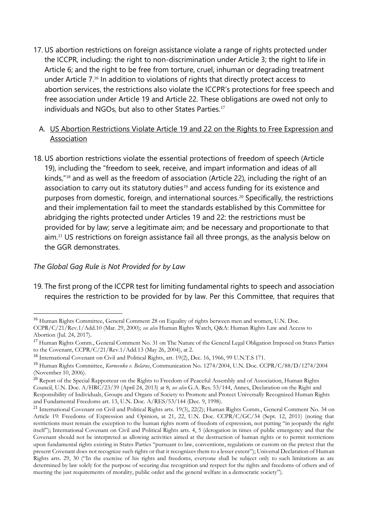17. US abortion restrictions on foreign assistance violate a range of rights protected under the ICCPR, including: the right to non-discrimination under Article 3; the right to life in Article 6; and the right to be free from torture, cruel, inhuman or degrading treatment under Article 7.<sup>16</sup> In addition to violations of rights that directly protect access to abortion services, the restrictions also violate the ICCPR's protections for free speech and free association under Article 19 and Article 22. These obligations are owed not only to individuals and NGOs, but also to other States Parties.<sup>17</sup>

#### A. US Abortion Restrictions Violate Article 19 and 22 on the Rights to Free Expression and Association

18. US abortion restrictions violate the essential protections of freedom of speech (Article 19), including the "freedom to seek, receive, and impart information and ideas of all kinds,"<sup>18</sup> and as well as the freedom of association (Article 22), including the right of an association to carry out its statutory duties<sup>19</sup> and access funding for its existence and purposes from domestic, foreign, and international sources.<sup>20</sup> Specifically, the restrictions and their implementation fail to meet the standards established by this Committee for abridging the rights protected under Articles 19 and 22: the restrictions must be provided for by law; serve a legitimate aim; and be necessary and proportionate to that aim.<sup>21</sup> US restrictions on foreign assistance fail all three prongs, as the analysis below on the GGR demonstrates.

#### *The Global Gag Rule is Not Provided for by Law*

1

19. The first prong of the ICCPR test for limiting fundamental rights to speech and association requires the restriction to be provided for by law. Per this Committee, that requires that

<sup>&</sup>lt;sup>16</sup> Human Rights Committee, General Comment 28 on Equality of rights between men and women, U.N. Doc.

CCPR/C/21/Rev.1/Add.10 (Mar. 29, 2000); *see also* Human Rights Watch, Q&A: Human Rights Law and Access to Abortion (Jul. 24, 2017).

<sup>&</sup>lt;sup>17</sup> Human Rights Comm., General Comment No. 31 on The Nature of the General Legal Obligation Imposed on States Parties to the Covenant, CCPR/C/21/Rev.1/Add.13 (May 26, 2004), at 2.

<sup>18</sup> International Covenant on Civil and Political Rights, art. 19(2), Dec. 16, 1966, 99 U.N.T.S 171.

<sup>19</sup> Human Rights Committee, *Korneenko v. Belarus*, Communication No. 1274/2004, U.N. Doc. CCPR/C/88/D/1274/2004 (November 10, 2006).

<sup>&</sup>lt;sup>20</sup> Report of the Special Rapporteur on the Rights to Freedom of Peaceful Assembly and of Association, Human Rights Council, U.N. Doc. A/HRC/23/39 (April 24, 2013) at 8; *see also* G.A. Res. 53/144, Annex, Declaration on the Right and Responsibility of Individuals, Groups and Organs of Society to Promote and Protect Universally Recognized Human Rights and Fundamental Freedoms art. 13, U.N. Doc. A/RES/53/144 (Dec. 9, 1998).

<sup>&</sup>lt;sup>21</sup> International Covenant on Civil and Political Rights arts. 19(3), 22(2); Human Rights Comm., General Comment No. 34 on Article 19: Freedoms of Expression and Opinion, at 21, 22, U.N. Doc. CCPR/C/GC/34 (Sept. 12, 2011) (noting that restrictions must remain the exception to the human rights norm of freedom of expression, not putting "in jeopardy the right itself"); International Covenant on Civil and Political Rights arts. 4, 5 (derogation in times of public emergency and that the Covenant should not be interpreted as allowing activities aimed at the destruction of human rights or to permit restrictions upon fundamental rights existing in States Parties "pursuant to law, conventions, regulations or custom on the pretext that the present Covenant does not recognize such rights or that it recognizes them to a lesser extent"); Universal Declaration of Human Rights arts. 29, 30 ("In the exercise of his rights and freedoms, everyone shall be subject only to such limitations as are determined by law solely for the purpose of securing due recognition and respect for the rights and freedoms of others and of meeting the just requirements of morality, public order and the general welfare in a democratic society").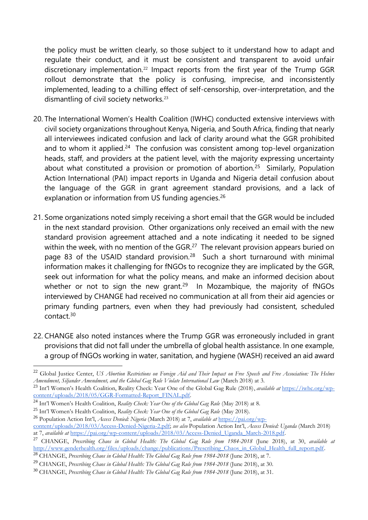the policy must be written clearly, so those subject to it understand how to adapt and regulate their conduct, and it must be consistent and transparent to avoid unfair discretionary implementation.<sup>22</sup> Impact reports from the first year of the Trump GGR rollout demonstrate that the policy is confusing, imprecise, and inconsistently implemented, leading to a chilling effect of self-censorship, over-interpretation, and the dismantling of civil society networks.<sup>23</sup>

- 20. The International Women's Health Coalition (IWHC) conducted extensive interviews with civil society organizations throughout Kenya, Nigeria, and South Africa, finding that nearly all interviewees indicated confusion and lack of clarity around what the GGR prohibited and to whom it applied.<sup>24</sup> The confusion was consistent among top-level organization heads, staff, and providers at the patient level, with the majority expressing uncertainty about what constituted a provision or promotion of abortion.<sup>25</sup> Similarly, Population Action International (PAI) impact reports in Uganda and Nigeria detail confusion about the language of the GGR in grant agreement standard provisions, and a lack of explanation or information from US funding agencies.<sup>26</sup>
- 21. Some organizations noted simply receiving a short email that the GGR would be included in the next standard provision. Other organizations only received an email with the new standard provision agreement attached and a note indicating it needed to be signed within the week, with no mention of the GGR.<sup>27</sup> The relevant provision appears buried on page 83 of the USAID standard provision.<sup>28</sup> Such a short turnaround with minimal information makes it challenging for fNGOs to recognize they are implicated by the GGR, seek out information for what the policy means, and make an informed decision about whether or not to sign the new grant.<sup>29</sup> In Mozambique, the majority of fNGOs interviewed by CHANGE had received no communication at all from their aid agencies or primary funding partners, even when they had previously had consistent, scheduled contact.<sup>30</sup>
- 22. CHANGE also noted instances where the Trump GGR was erroneously included in grant provisions that did not fall under the umbrella of global health assistance. In one example, a group of fNGOs working in water, sanitation, and hygiene (WASH) received an aid award

<sup>22</sup> Global Justice Center, *US Abortion Restrictions on Foreign Aid and Their Impact on Free Speech and Free Association: The Helms Amendment, Siljander Amendment, and the Global Gag Rule Violate International Law* (March 2018) at 3.

<sup>23</sup> Int'l Women's Health Coalition, Reality Check: Year One of the Global Gag Rule (2018), *available at* [https://iwhc.org/wp](https://iwhc.org/wp-content/uploads/2018/05/GGR-Formatted-Report_FINAL.pdf)[content/uploads/2018/05/GGR-Formatted-Report\\_FINAL.pdf.](https://iwhc.org/wp-content/uploads/2018/05/GGR-Formatted-Report_FINAL.pdf)

<sup>24</sup> Int'l Women's Health Coalition, *Reality Check: Year One of the Global Gag Rule* (May 2018) at 8.

<sup>25</sup> Int'l Women's Health Coalition, *Reality Check: Year One of the Global Gag Rule* (May 2018).

<sup>26</sup> Population Action Int'l, *Access Denied: Nigeria* (March 2018) at 7, *available at* [https://pai.org/wp-](https://pai.org/wp-content/uploads/2018/03/Access-Denied-Nigeria-2.pdf)

[content/uploads/2018/03/Access-Denied-Nigeria-2.pdf;](https://pai.org/wp-content/uploads/2018/03/Access-Denied-Nigeria-2.pdf) *see also* Population Action Int'l, *Access Denied: Uganda* (March 2018) at 7, *available at* [https://pai.org/wp-content/uploads/2018/03/Access-Denied\\_Uganda\\_March-2018.pdf.](https://pai.org/wp-content/uploads/2018/03/Access-Denied_Uganda_March-2018.pdf)

<sup>27</sup> CHANGE, *Prescribing Chaos in Global Health: The Global Gag Rule from 1984-2018* (June 2018), at 30, *available at*  [http://www.genderhealth.org/files/uploads/change/publications/Prescribing\\_Chaos\\_in\\_Global\\_Health\\_full\\_report.pdf.](http://www.genderhealth.org/files/uploads/change/publications/Prescribing_Chaos_in_Global_Health_full_report.pdf)

<sup>28</sup> CHANGE, *Prescribing Chaos in Global Health: The Global Gag Rule from 1984-2018* (June 2018), at 7.

<sup>29</sup> CHANGE, *Prescribing Chaos in Global Health: The Global Gag Rule from 1984-2018* (June 2018), at 30*.*

<sup>30</sup> CHANGE, *Prescribing Chaos in Global Health: The Global Gag Rule from 1984-2018* (June 2018), at 31.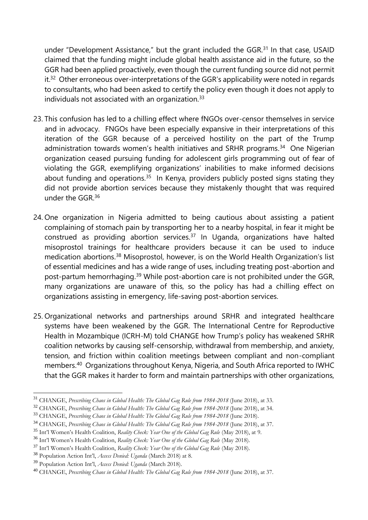under "Development Assistance," but the grant included the GGR.<sup>31</sup> In that case, USAID claimed that the funding might include global health assistance aid in the future, so the GGR had been applied proactively, even though the current funding source did not permit  $it.^{32}$  Other erroneous over-interpretations of the GGR's applicability were noted in regards to consultants, who had been asked to certify the policy even though it does not apply to individuals not associated with an organization. $33$ 

- 23. This confusion has led to a chilling effect where fNGOs over-censor themselves in service and in advocacy. FNGOs have been especially expansive in their interpretations of this iteration of the GGR because of a perceived hostility on the part of the Trump administration towards women's health initiatives and SRHR programs.<sup>34</sup> One Nigerian organization ceased pursuing funding for adolescent girls programming out of fear of violating the GGR, exemplifying organizations' inabilities to make informed decisions about funding and operations.<sup>35</sup> In Kenya, providers publicly posted signs stating they did not provide abortion services because they mistakenly thought that was required under the GGR. 36
- 24. One organization in Nigeria admitted to being cautious about assisting a patient complaining of stomach pain by transporting her to a nearby hospital, in fear it might be construed as providing abortion services. $37$  In Uganda, organizations have halted misoprostol trainings for healthcare providers because it can be used to induce medication abortions.<sup>38</sup> Misoprostol, however, is on the World Health Organization's list of essential medicines and has a wide range of uses, including treating post-abortion and post-partum hemorrhaging.<sup>39</sup> While post-abortion care is not prohibited under the GGR, many organizations are unaware of this, so the policy has had a chilling effect on organizations assisting in emergency, life-saving post-abortion services.
- 25. Organizational networks and partnerships around SRHR and integrated healthcare systems have been weakened by the GGR. The International Centre for Reproductive Health in Mozambique (ICRH-M) told CHANGE how Trump's policy has weakened SRHR coalition networks by causing self-censorship, withdrawal from membership, and anxiety, tension, and friction within coalition meetings between compliant and non-compliant members.<sup>40</sup> Organizations throughout Kenya, Nigeria, and South Africa reported to IWHC that the GGR makes it harder to form and maintain partnerships with other organizations,

1

<sup>31</sup> CHANGE, *Prescribing Chaos in Global Health: The Global Gag Rule from 1984-2018* (June 2018), at 33.

<sup>32</sup> CHANGE, *Prescribing Chaos in Global Health: The Global Gag Rule from 1984-2018* (June 2018), at 34.

<sup>33</sup> CHANGE, *Prescribing Chaos in Global Health: The Global Gag Rule from 1984-2018* (June 2018).

<sup>34</sup> CHANGE, *Prescribing Chaos in Global Health: The Global Gag Rule from 1984-2018* (June 2018), at 37.

<sup>35</sup> Int'l Women's Health Coalition, *Reality Check: Year One of the Global Gag Rule* (May 2018), at 9.

<sup>36</sup> Int'l Women's Health Coalition, *Reality Check: Year One of the Global Gag Rule* (May 2018).

<sup>37</sup> Int'l Women's Health Coalition, *Reality Check: Year One of the Global Gag Rule* (May 2018).

<sup>38</sup> Population Action Int'l, *Access Denied: Uganda* (March 2018) at 8.

<sup>39</sup> Population Action Int'l, *Access Denied: Uganda* (March 2018).

<sup>40</sup> CHANGE, *Prescribing Chaos in Global Health: The Global Gag Rule from 1984-2018* (June 2018), at 37.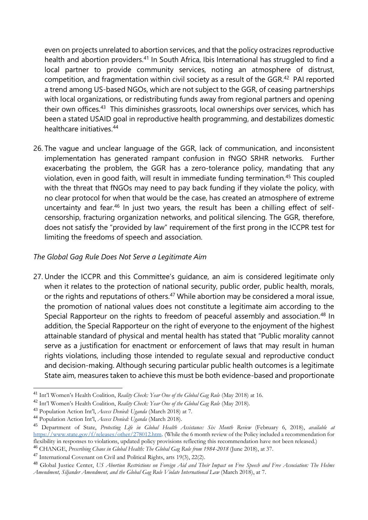even on projects unrelated to abortion services, and that the policy ostracizes reproductive health and abortion providers.<sup>41</sup> In South Africa, Ibis International has struggled to find a local partner to provide community services, noting an atmosphere of distrust, competition, and fragmentation within civil society as a result of the GGR.<sup>42</sup> PAI reported a trend among US-based NGOs, which are not subject to the GGR, of ceasing partnerships with local organizations, or redistributing funds away from regional partners and opening their own offices.<sup>43</sup> This diminishes grassroots, local ownerships over services, which has been a stated USAID goal in reproductive health programming, and destabilizes domestic healthcare initiatives.<sup>44</sup>

26. The vague and unclear language of the GGR, lack of communication, and inconsistent implementation has generated rampant confusion in fNGO SRHR networks. Further exacerbating the problem, the GGR has a zero-tolerance policy, mandating that any violation, even in good faith, will result in immediate funding termination.<sup>45</sup> This coupled with the threat that fNGOs may need to pay back funding if they violate the policy, with no clear protocol for when that would be the case, has created an atmosphere of extreme uncertainty and fear.<sup>46</sup> In just two years, the result has been a chilling effect of selfcensorship, fracturing organization networks, and political silencing. The GGR, therefore, does not satisfy the "provided by law" requirement of the first prong in the ICCPR test for limiting the freedoms of speech and association.

## *The Global Gag Rule Does Not Serve a Legitimate Aim*

27. Under the ICCPR and this Committee's guidance, an aim is considered legitimate only when it relates to the protection of national security, public order, public health, morals, or the rights and reputations of others.<sup>47</sup> While abortion may be considered a moral issue, the promotion of national values does not constitute a legitimate aim according to the Special Rapporteur on the rights to freedom of peaceful assembly and association.<sup>48</sup> In addition, the Special Rapporteur on the right of everyone to the enjoyment of the highest attainable standard of physical and mental health has stated that "Public morality cannot serve as a justification for enactment or enforcement of laws that may result in human rights violations, including those intended to regulate sexual and reproductive conduct and decision-making. Although securing particular public health outcomes is a legitimate State aim, measures taken to achieve this must be both evidence-based and proportionate

<sup>41</sup> Int'l Women's Health Coalition, *Reality Check: Year One of the Global Gag Rule* (May 2018) at 16.

<sup>42</sup> Int'l Women's Health Coalition, *Reality Check: Year One of the Global Gag Rule* (May 2018).

<sup>43</sup> Population Action Int'l, *Access Denied: Uganda* (March 2018) at 7.

<sup>44</sup> Population Action Int'l, *Access Denied: Uganda* (March 2018).

<sup>45</sup> Department of State, *Protecting Life in Global Health Assistance: Six Month Review* (February 6, 2018), *available at*  [https://www.state.gov/f/releases/other/278012.htm.](https://www.state.gov/f/releases/other/278012.htm) (While the 6 month review of the Policy included a recommendation for flexibility in responses to violations, updated policy provisions reflecting this recommendation have not been released.)

<sup>46</sup> CHANGE, *Prescribing Chaos in Global Health: The Global Gag Rule from 1984-2018* (June 2018), at 37.

<sup>47</sup> International Covenant on Civil and Political Rights, arts 19(3), 22(2).

<sup>48</sup> Global Justice Center, *US Abortion Restrictions on Foreign Aid and Their Impact on Free Speech and Free Association: The Helms Amendment, Siljander Amendment, and the Global Gag Rule Violate International Law* (March 2018), at 7.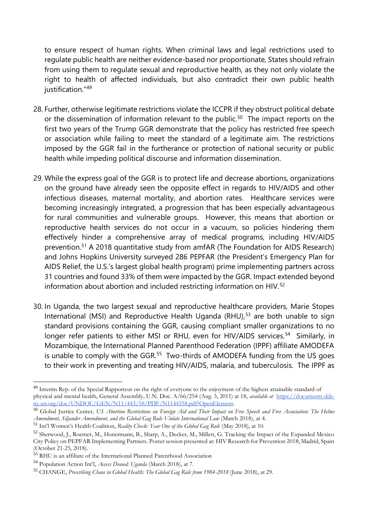to ensure respect of human rights. When criminal laws and legal restrictions used to regulate public health are neither evidence-based nor proportionate, States should refrain from using them to regulate sexual and reproductive health, as they not only violate the right to health of affected individuals, but also contradict their own public health justification."<sup>49</sup>

- 28. Further, otherwise legitimate restrictions violate the ICCPR if they obstruct political debate or the dissemination of information relevant to the public.<sup>50</sup> The impact reports on the first two years of the Trump GGR demonstrate that the policy has restricted free speech or association while failing to meet the standard of a legitimate aim. The restrictions imposed by the GGR fail in the furtherance or protection of national security or public health while impeding political discourse and information dissemination.
- 29. While the express goal of the GGR is to protect life and decrease abortions, organizations on the ground have already seen the opposite effect in regards to HIV/AIDS and other infectious diseases, maternal mortality, and abortion rates. Healthcare services were becoming increasingly integrated, a progression that has been especially advantageous for rural communities and vulnerable groups. However, this means that abortion or reproductive health services do not occur in a vacuum, so policies hindering them effectively hinder a comprehensive array of medical programs, including HIV/AIDS prevention.<sup>51</sup> A 2018 quantitative study from amfAR (The Foundation for AIDS Research) and Johns Hopkins University surveyed 286 PEPFAR (the President's Emergency Plan for AIDS Relief, the U.S.'s largest global health program) prime implementing partners across 31 countries and found 33% of them were impacted by the GGR. Impact extended beyond information about abortion and included restricting information on HIV.<sup>52</sup>
- 30. In Uganda, the two largest sexual and reproductive healthcare providers, Marie Stopes International (MSI) and Reproductive Health Uganda (RHU), $53$  are both unable to sign standard provisions containing the GGR, causing compliant smaller organizations to no longer refer patients to either MSI or RHU, even for HIV/AIDS services.<sup>54</sup> Similarly, in Mozambique, the International Planned Parenthood Federation (IPPF) affiliate AMODEFA is unable to comply with the GGR.<sup>55</sup> Two-thirds of AMODEFA funding from the US goes to their work in preventing and treating HIV/AIDS, malaria, and tuberculosis. The IPPF as

<sup>&</sup>lt;sup>49</sup> Interim Rep. of the Special Rapporteur on the right of everyone to the enjoyment of the highest attainable standard of physical and mental health, General Assembly, U.N. Doc. A/66/254 (Aug. 3, 2011) at 18, *available at* [https://documents-dds](https://documents-dds-ny.un.org/doc/UNDOC/GEN/N11/443/58/PDF/N1144358.pdf?OpenElement)[ny.un.org/doc/UNDOC/GEN/N11/443/58/PDF/N1144358.pdf?OpenElement.](https://documents-dds-ny.un.org/doc/UNDOC/GEN/N11/443/58/PDF/N1144358.pdf?OpenElement)

<sup>50</sup> Global Justice Center, *US Abortion Restrictions on Foreign Aid and Their Impact on Free Speech and Free Association: The Helms Amendment, Siljander Amendment, and the Global Gag Rule Violate International Law* (March 2018), at 4.

<sup>51</sup> Int'l Women's Health Coalition, *Reality Check: Year One of the Global Gag Rule* (May 2018), at 10.

<sup>52</sup> Sherwood, J., Roemer, M., Honermann, B., Sharp, A., Decker, M., Millett, G. Tracking the Impact of the Expanded Mexico City Policy on PEPFAR Implementing Partners. Poster session presented at: HIV Research for Prevention 2018; Madrid, Spain (October 21-25, 2018).

<sup>53</sup> RHU is an affiliate of the International Planned Parenthood Association

<sup>54</sup> Population Action Int'l, *Access Denied: Uganda* (March 2018), at 7.

<sup>55</sup> CHANGE, *Prescribing Chaos in Global Health: The Global Gag Rule from 1984-2018* (June 2018), at 29.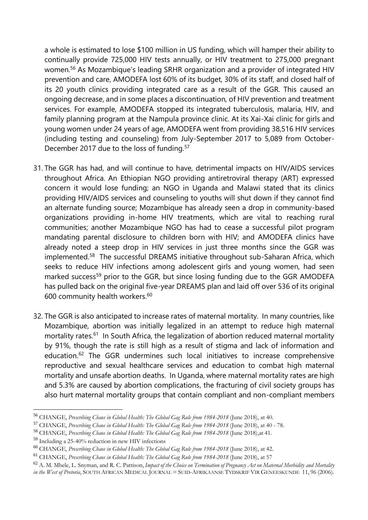a whole is estimated to lose \$100 million in US funding, which will hamper their ability to continually provide 725,000 HIV tests annually, or HIV treatment to 275,000 pregnant women.<sup>56</sup> As Mozambique's leading SRHR organization and a provider of integrated HIV prevention and care, AMODEFA lost 60% of its budget, 30% of its staff, and closed half of its 20 youth clinics providing integrated care as a result of the GGR. This caused an ongoing decrease, and in some places a discontinuation, of HIV prevention and treatment services. For example, AMODEFA stopped its integrated tuberculosis, malaria, HIV, and family planning program at the Nampula province clinic. At its Xai-Xai clinic for girls and young women under 24 years of age, AMODEFA went from providing 38,516 HIV services (including testing and counseling) from July-September 2017 to 5,089 from October-December 2017 due to the loss of funding.<sup>57</sup>

- 31. The GGR has had, and will continue to have, detrimental impacts on HIV/AIDS services throughout Africa. An Ethiopian NGO providing antiretroviral therapy (ART) expressed concern it would lose funding; an NGO in Uganda and Malawi stated that its clinics providing HIV/AIDS services and counseling to youths will shut down if they cannot find an alternate funding source; Mozambique has already seen a drop in community-based organizations providing in-home HIV treatments, which are vital to reaching rural communities; another Mozambique NGO has had to cease a successful pilot program mandating parental disclosure to children born with HIV; and AMODEFA clinics have already noted a steep drop in HIV services in just three months since the GGR was implemented.<sup>58</sup> The successful DREAMS initiative throughout sub-Saharan Africa, which seeks to reduce HIV infections among adolescent girls and young women, had seen marked success<sup>59</sup> prior to the GGR, but since losing funding due to the GGR AMODEFA has pulled back on the original five-year DREAMS plan and laid off over 536 of its original 600 community health workers.<sup>60</sup>
- 32. The GGR is also anticipated to increase rates of maternal mortality. In many countries, like Mozambique, abortion was initially legalized in an attempt to reduce high maternal mortality rates.<sup>61</sup> In South Africa, the legalization of abortion reduced maternal mortality by 91%, though the rate is still high as a result of stigma and lack of information and education.<sup>62</sup> The GGR undermines such local initiatives to increase comprehensive reproductive and sexual healthcare services and education to combat high maternal mortality and unsafe abortion deaths. In Uganda, where maternal mortality rates are high and 5.3% are caused by abortion complications, the fracturing of civil society groups has also hurt maternal mortality groups that contain compliant and non-compliant members

<sup>56</sup> CHANGE, *Prescribing Chaos in Global Health: The Global Gag Rule from 1984-2018* (June 2018), at 40.

<sup>57</sup> CHANGE, *Prescribing Chaos in Global Health: The Global Gag Rule from 1984-2018* (June 2018), at 40 - 78.

<sup>58</sup> CHANGE, *Prescribing Chaos in Global Health: The Global Gag Rule from 1984-2018* (June 2018),at 41.

<sup>59</sup> Including a 25-40% reduction in new HIV infections

<sup>60</sup> CHANGE, *Prescribing Chaos in Global Health: The Global Gag Rule from 1984-2018* (June 2018), at 42.

<sup>61</sup> CHANGE, *Prescribing Chaos in Global Health: The Global Gag Rule from 1984-2018* (June 2018), at 57

<sup>62</sup> A. M. Mbele, L. Snyman, and R. C. Pattison, *Impact of the Choice on Termination of Pregnancy Act on Maternal Morbidity and Mortality in the West of Pretoria*, SOUTH AFRICAN MEDICAL JOURNAL = SUID-AFRIKAANSE TYDSKRIF VIR GENEESKUNDE 11, 96 (2006).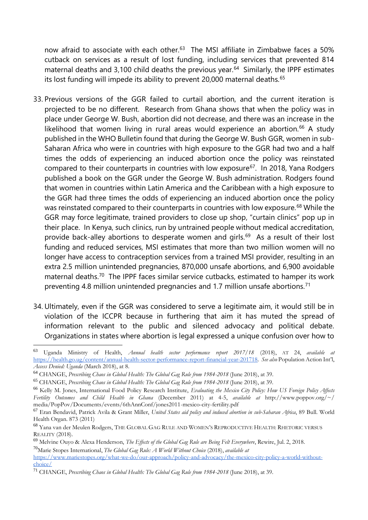now afraid to associate with each other.<sup>63</sup> The MSI affiliate in Zimbabwe faces a 50% cutback on services as a result of lost funding, including services that prevented 814 maternal deaths and 3,100 child deaths the previous year.<sup>64</sup> Similarly, the IPPF estimates its lost funding will impede its ability to prevent 20,000 maternal deaths.<sup>65</sup>

- 33. Previous versions of the GGR failed to curtail abortion, and the current iteration is projected to be no different. Research from Ghana shows that when the policy was in place under George W. Bush, abortion did not decrease, and there was an increase in the likelihood that women living in rural areas would experience an abortion.<sup>66</sup> A study published in the WHO Bulletin found that during the George W. Bush GGR, women in sub-Saharan Africa who were in countries with high exposure to the GGR had two and a half times the odds of experiencing an induced abortion once the policy was reinstated compared to their counterparts in countries with low exposure<sup>67</sup>. In 2018, Yana Rodgers published a book on the GGR under the George W. Bush administration. Rodgers found that women in countries within Latin America and the Caribbean with a high exposure to the GGR had three times the odds of experiencing an induced abortion once the policy was reinstated compared to their counterparts in countries with low exposure.<sup>68</sup> While the GGR may force legitimate, trained providers to close up shop, "curtain clinics" pop up in their place. In Kenya, such clinics, run by untrained people without medical accreditation, provide back-alley abortions to desperate women and girls.<sup>69</sup> As a result of their lost funding and reduced services, MSI estimates that more than two million women will no longer have access to contraception services from a trained MSI provider, resulting in an extra 2.5 million unintended pregnancies, 870,000 unsafe abortions, and 6,900 avoidable maternal deaths.<sup>70</sup> The IPPF faces similar service cutbacks, estimated to hamper its work preventing 4.8 million unintended pregnancies and 1.7 million unsafe abortions.<sup>71</sup>
- 34. Ultimately, even if the GGR was considered to serve a legitimate aim, it would still be in violation of the ICCPR because in furthering that aim it has muted the spread of information relevant to the public and silenced advocacy and political debate. Organizations in states where abortion is legal expressed a unique confusion over how to

<sup>63</sup> Uganda Ministry of Health, *Annual health sector performance report 2017/18* (2018), AT 24, *available at*  [https://health.go.ug/content/annual-health-sector-performance-report-financial-year-201718.](https://health.go.ug/content/annual-health-sector-performance-report-financial-year-201718) *See also* Population Action Int'l, *Access Denied: Uganda* (March 2018), at 8.

<sup>64</sup> CHANGE, *Prescribing Chaos in Global Health: The Global Gag Rule from 1984-2018* (June 2018), at 39.

<sup>65</sup> CHANGE, *Prescribing Chaos in Global Health: The Global Gag Rule from 1984-2018* (June 2018), at 39*.*

<sup>66</sup> Kelly M. Jones, International Food Policy Research Institute, *Evaluating the Mexico City Policy: How US Foreign Policy Affects Fertility Outcomes and Child Health in Ghana* (December 2011) at 4-5, *available at* http://www.poppov.org/~/ media/PopPov/Documents/events/6thAnnConf/jones2011-mexico-city-fertility.pdf

<sup>67</sup> Eran Bendavid, Patrick Avila & Grant Miller, *United States aid policy and induced abortion in sub-Saharan Africa*, 89 Bull. World Health Organ. 873 (2011)

<sup>68</sup> Yana van der Meulen Rodgers, THE GLOBAL GAG RULE AND WOMEN'S REPRODUCTIVE HEALTH: RHETORIC VERSUS REALITY (2018).

<sup>69</sup> Melvine Ouyo & Alexa Henderson, *The Effects of the Global Gag Rule are Being Felt Everywhere*, Rewire, Jul. 2, 2018*.* <sup>70</sup>Marie Stopes International, *The Global Gag Rule: A World Without Choice* (2018), *available at* 

[https://www.mariestopes.org/what-we-do/our-approach/policy-and-advocacy/the-mexico-city-policy-a-world-without](https://www.mariestopes.org/what-we-do/our-approach/policy-and-advocacy/the-mexico-city-policy-a-world-without-choice/)[choice/](https://www.mariestopes.org/what-we-do/our-approach/policy-and-advocacy/the-mexico-city-policy-a-world-without-choice/)

<sup>71</sup> CHANGE, *Prescribing Chaos in Global Health: The Global Gag Rule from 1984-2018* (June 2018), at 39.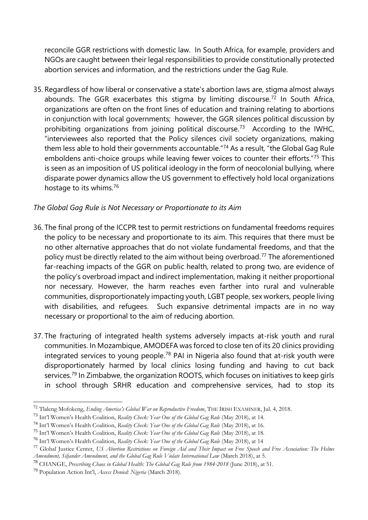reconcile GGR restrictions with domestic law. In South Africa, for example, providers and NGOs are caught between their legal responsibilities to provide constitutionally protected abortion services and information, and the restrictions under the Gag Rule.

35. Regardless of how liberal or conservative a state's abortion laws are, stigma almost always abounds. The GGR exacerbates this stigma by limiting discourse.<sup>72</sup> In South Africa, organizations are often on the front lines of education and training relating to abortions in conjunction with local governments; however, the GGR silences political discussion by prohibiting organizations from joining political discourse.<sup>73</sup> According to the IWHC, "interviewees also reported that the Policy silences civil society organizations, making them less able to hold their governments accountable."<sup>74</sup> As a result, "the Global Gag Rule emboldens anti-choice groups while leaving fewer voices to counter their efforts."<sup>75</sup> This is seen as an imposition of US political ideology in the form of neocolonial bullying, where disparate power dynamics allow the US government to effectively hold local organizations hostage to its whims.<sup>76</sup>

# *The Global Gag Rule is Not Necessary or Proportionate to its Aim*

- 36. The final prong of the ICCPR test to permit restrictions on fundamental freedoms requires the policy to be necessary and proportionate to its aim. This requires that there must be no other alternative approaches that do not violate fundamental freedoms, and that the policy must be directly related to the aim without being overbroad.<sup>77</sup> The aforementioned far-reaching impacts of the GGR on public health, related to prong two, are evidence of the policy's overbroad impact and indirect implementation, making it neither proportional nor necessary. However, the harm reaches even farther into rural and vulnerable communities, disproportionately impacting youth, LGBT people, sex workers, people living with disabilities, and refugees. Such expansive detrimental impacts are in no way necessary or proportional to the aim of reducing abortion.
- 37. The fracturing of integrated health systems adversely impacts at-risk youth and rural communities. In Mozambique, AMODEFA was forced to close ten of its 20 clinics providing integrated services to young people.<sup>78</sup> PAI in Nigeria also found that at-risk youth were disproportionately harmed by local clinics losing funding and having to cut back services.<sup>79</sup> In Zimbabwe, the organization ROOTS, which focuses on initiatives to keep girls in school through SRHR education and comprehensive services, had to stop its

<sup>72</sup> Tlaleng Mofokeng, *Ending America's Global War on Reproductive Freedom*, THE IRISH EXAMINER, Jul. 4, 2018.

<sup>73</sup> Int'l Women's Health Coalition, *Reality Check: Year One of the Global Gag Rule* (May 2018), at 14.

<sup>74</sup> Int'l Women's Health Coalition, *Reality Check: Year One of the Global Gag Rule* (May 2018), at 16.

<sup>75</sup> Int'l Women's Health Coalition, *Reality Check: Year One of the Global Gag Rule* (May 2018), at 18.

<sup>76</sup> Int'l Women's Health Coalition, *Reality Check: Year One of the Global Gag Rule* (May 2018), at 14

<sup>77</sup> Global Justice Center, *US Abortion Restrictions on Foreign Aid and Their Impact on Free Speech and Free Association: The Helms Amendment, Siljander Amendment, and the Global Gag Rule Violate International Law* (March 2018), at 5.

<sup>78</sup> CHANGE, *Prescribing Chaos in Global Health: The Global Gag Rule from 1984-2018* (June 2018), at 51.

<sup>79</sup> Population Action Int'l, *Access Denied: Nigeria* (March 2018).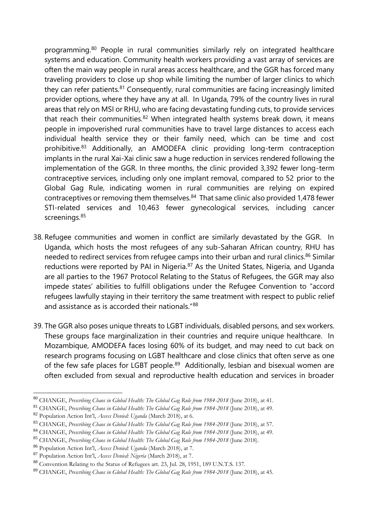programming.<sup>80</sup> People in rural communities similarly rely on integrated healthcare systems and education. Community health workers providing a vast array of services are often the main way people in rural areas access healthcare, and the GGR has forced many traveling providers to close up shop while limiting the number of larger clinics to which they can refer patients. $81$  Consequently, rural communities are facing increasingly limited provider options, where they have any at all. In Uganda, 79% of the country lives in rural areas that rely on MSI or RHU, who are facing devastating funding cuts, to provide services that reach their communities. $82$  When integrated health systems break down, it means people in impoverished rural communities have to travel large distances to access each individual health service they or their family need, which can be time and cost prohibitive.<sup>83</sup> Additionally, an AMODEFA clinic providing long-term contraception implants in the rural Xai-Xai clinic saw a huge reduction in services rendered following the implementation of the GGR. In three months, the clinic provided 3,392 fewer long-term contraceptive services, including only one implant removal, compared to 52 prior to the Global Gag Rule, indicating women in rural communities are relying on expired contraceptives or removing them themselves.<sup>84</sup> That same clinic also provided 1,478 fewer STI-related services and 10,463 fewer gynecological services, including cancer screenings.<sup>85</sup>

- 38. Refugee communities and women in conflict are similarly devastated by the GGR. In Uganda, which hosts the most refugees of any sub-Saharan African country, RHU has needed to redirect services from refugee camps into their urban and rural clinics.<sup>86</sup> Similar reductions were reported by PAI in Nigeria.<sup>87</sup> As the United States, Nigeria, and Uganda are all parties to the 1967 Protocol Relating to the Status of Refugees, the GGR may also impede states' abilities to fulfill obligations under the Refugee Convention to "accord refugees lawfully staying in their territory the same treatment with respect to public relief and assistance as is accorded their nationals."88
- 39. The GGR also poses unique threats to LGBT individuals, disabled persons, and sex workers. These groups face marginalization in their countries and require unique healthcare. In Mozambique, AMODEFA faces losing 60% of its budget, and may need to cut back on research programs focusing on LGBT healthcare and close clinics that often serve as one of the few safe places for LGBT people.<sup>89</sup> Additionally, lesbian and bisexual women are often excluded from sexual and reproductive health education and services in broader

1

<sup>80</sup> CHANGE, *Prescribing Chaos in Global Health: The Global Gag Rule from 1984-2018* (June 2018), at 41.

<sup>81</sup> CHANGE, *Prescribing Chaos in Global Health: The Global Gag Rule from 1984-2018* (June 2018), at 49.

<sup>82</sup> Population Action Int'l, *Access Denied: Uganda* (March 2018), at 6.

<sup>83</sup> CHANGE, *Prescribing Chaos in Global Health: The Global Gag Rule from 1984-2018* (June 2018), at 57.

<sup>84</sup> CHANGE, *Prescribing Chaos in Global Health: The Global Gag Rule from 1984-2018* (June 2018), at 49.

<sup>85</sup> CHANGE, *Prescribing Chaos in Global Health: The Global Gag Rule from 1984-2018* (June 2018).

<sup>86</sup> Population Action Int'l, *Access Denied: Uganda* (March 2018), at 7.

<sup>87</sup> Population Action Int'l, *Access Denied: Nigeria* (March 2018), at 7.

<sup>88</sup> Convention Relating to the Status of Refugees art. 23, Jul. 28, 1951, 189 U.N.T.S. 137.

<sup>89</sup> CHANGE, *Prescribing Chaos in Global Health: The Global Gag Rule from 1984-2018* (June 2018), at 45.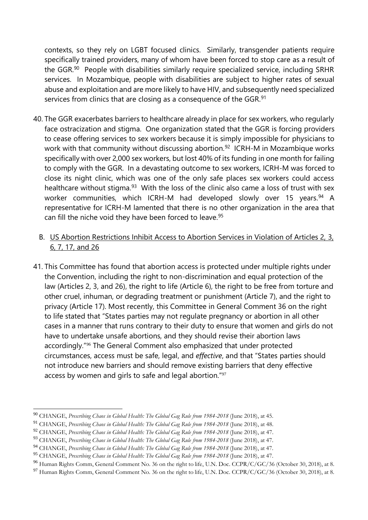contexts, so they rely on LGBT focused clinics. Similarly, transgender patients require specifically trained providers, many of whom have been forced to stop care as a result of the GGR.<sup>90</sup> People with disabilities similarly require specialized service, including SRHR services. In Mozambique, people with disabilities are subject to higher rates of sexual abuse and exploitation and are more likely to have HIV, and subsequently need specialized services from clinics that are closing as a consequence of the GGR.<sup>91</sup>

- 40. The GGR exacerbates barriers to healthcare already in place for sex workers, who regularly face ostracization and stigma. One organization stated that the GGR is forcing providers to cease offering services to sex workers because it is simply impossible for physicians to work with that community without discussing abortion.<sup>92</sup> ICRH-M in Mozambique works specifically with over 2,000 sex workers, but lost 40% of its funding in one month for failing to comply with the GGR. In a devastating outcome to sex workers, ICRH-M was forced to close its night clinic, which was one of the only safe places sex workers could access healthcare without stigma.<sup>93</sup> With the loss of the clinic also came a loss of trust with sex worker communities, which ICRH-M had developed slowly over 15 years.<sup>94</sup> A representative for ICRH-M lamented that there is no other organization in the area that can fill the niche void they have been forced to leave.<sup>95</sup>
	- B. US Abortion Restrictions Inhibit Access to Abortion Services in Violation of Articles 2, 3, 6, 7, 17, and 26
- 41. This Committee has found that abortion access is protected under multiple rights under the Convention, including the right to non-discrimination and equal protection of the law (Articles 2, 3, and 26), the right to life (Article 6), the right to be free from torture and other cruel, inhuman, or degrading treatment or punishment (Article 7), and the right to privacy (Article 17). Most recently, this Committee in General Comment 36 on the right to life stated that "States parties may not regulate pregnancy or abortion in all other cases in a manner that runs contrary to their duty to ensure that women and girls do not have to undertake unsafe abortions, and they should revise their abortion laws accordingly."<sup>96</sup> The General Comment also emphasized that under protected circumstances, access must be safe, legal, and *effective*, and that "States parties should not introduce new barriers and should remove existing barriers that deny effective access by women and girls to safe and legal abortion."<sup>97</sup>

<sup>90</sup> CHANGE, *Prescribing Chaos in Global Health: The Global Gag Rule from 1984-2018* (June 2018), at 45.

<sup>91</sup> CHANGE, *Prescribing Chaos in Global Health: The Global Gag Rule from 1984-2018* (June 2018), at 48.

<sup>92</sup> CHANGE, *Prescribing Chaos in Global Health: The Global Gag Rule from 1984-2018* (June 2018), at 47.

<sup>93</sup> CHANGE, *Prescribing Chaos in Global Health: The Global Gag Rule from 1984-2018* (June 2018), at 47.

<sup>94</sup> CHANGE, *Prescribing Chaos in Global Health: The Global Gag Rule from 1984-2018* (June 2018), at 47.

<sup>95</sup> CHANGE, *Prescribing Chaos in Global Health: The Global Gag Rule from 1984-2018* (June 2018), at 47.

<sup>&</sup>lt;sup>96</sup> Human Rights Comm, General Comment No. 36 on the right to life, U.N. Doc. CCPR/C/GC/36 (October 30, 2018), at 8.

<sup>97</sup> Human Rights Comm, General Comment No. 36 on the right to life, U.N. Doc. CCPR/C/GC/36 (October 30, 2018), at 8.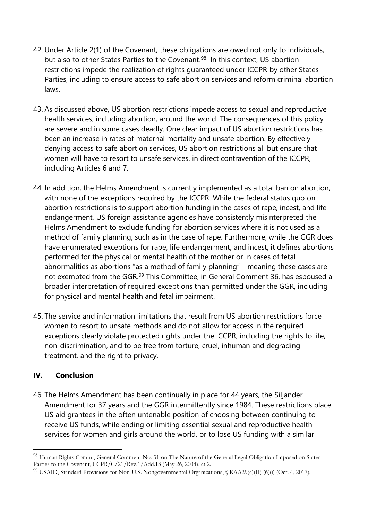- 42. Under Article 2(1) of the Covenant, these obligations are owed not only to individuals, but also to other States Parties to the Covenant.<sup>98</sup> In this context, US abortion restrictions impede the realization of rights guaranteed under ICCPR by other States Parties, including to ensure access to safe abortion services and reform criminal abortion laws.
- 43. As discussed above, US abortion restrictions impede access to sexual and reproductive health services, including abortion, around the world. The consequences of this policy are severe and in some cases deadly. One clear impact of US abortion restrictions has been an increase in rates of maternal mortality and unsafe abortion. By effectively denying access to safe abortion services, US abortion restrictions all but ensure that women will have to resort to unsafe services, in direct contravention of the ICCPR, including Articles 6 and 7.
- 44. In addition, the Helms Amendment is currently implemented as a total ban on abortion, with none of the exceptions required by the ICCPR. While the federal status quo on abortion restrictions is to support abortion funding in the cases of rape, incest, and life endangerment, US foreign assistance agencies have consistently misinterpreted the Helms Amendment to exclude funding for abortion services where it is not used as a method of family planning, such as in the case of rape. Furthermore, while the GGR does have enumerated exceptions for rape, life endangerment, and incest, it defines abortions performed for the physical or mental health of the mother or in cases of fetal abnormalities as abortions "as a method of family planning"—meaning these cases are not exempted from the GGR.<sup>99</sup> This Committee, in General Comment 36, has espoused a broader interpretation of required exceptions than permitted under the GGR, including for physical and mental health and fetal impairment.
- 45. The service and information limitations that result from US abortion restrictions force women to resort to unsafe methods and do not allow for access in the required exceptions clearly violate protected rights under the ICCPR, including the rights to life, non-discrimination, and to be free from torture, cruel, inhuman and degrading treatment, and the right to privacy.

# **IV. Conclusion**

-

46. The Helms Amendment has been continually in place for 44 years, the Siljander Amendment for 37 years and the GGR intermittently since 1984. These restrictions place US aid grantees in the often untenable position of choosing between continuing to receive US funds, while ending or limiting essential sexual and reproductive health services for women and girls around the world, or to lose US funding with a similar

<sup>98</sup> Human Rights Comm., General Comment No. 31 on The Nature of the General Legal Obligation Imposed on States Parties to the Covenant, CCPR/C/21/Rev.1/Add.13 (May 26, 2004), at 2.

<sup>99</sup> USAID, Standard Provisions for Non-U.S. Nongovernmental Organizations, § RAA29(a)(II) (6)(i) (Oct. 4, 2017).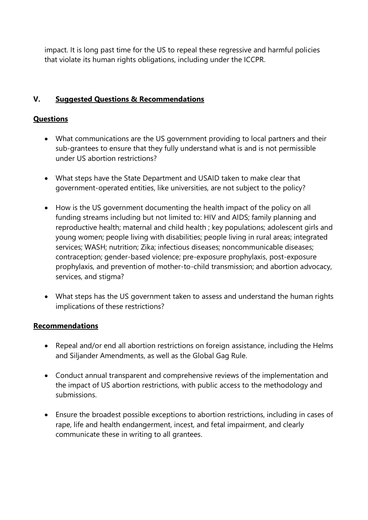impact. It is long past time for the US to repeal these regressive and harmful policies that violate its human rights obligations, including under the ICCPR.

# **V. Suggested Questions & Recommendations**

### **Questions**

- What communications are the US government providing to local partners and their sub-grantees to ensure that they fully understand what is and is not permissible under US abortion restrictions?
- What steps have the State Department and USAID taken to make clear that government-operated entities, like universities, are not subject to the policy?
- How is the US government documenting the health impact of the policy on all funding streams including but not limited to: HIV and AIDS; family planning and reproductive health; maternal and child health ; key populations; adolescent girls and young women; people living with disabilities; people living in rural areas; integrated services; WASH; nutrition; Zika; infectious diseases; noncommunicable diseases; contraception; gender-based violence; pre-exposure prophylaxis, post-exposure prophylaxis, and prevention of mother-to-child transmission; and abortion advocacy, services, and stigma?
- What steps has the US government taken to assess and understand the human rights implications of these restrictions?

#### **Recommendations**

- Repeal and/or end all abortion restrictions on foreign assistance, including the Helms and Siljander Amendments, as well as the Global Gag Rule.
- Conduct annual transparent and comprehensive reviews of the implementation and the impact of US abortion restrictions, with public access to the methodology and submissions.
- Ensure the broadest possible exceptions to abortion restrictions, including in cases of rape, life and health endangerment, incest, and fetal impairment, and clearly communicate these in writing to all grantees.